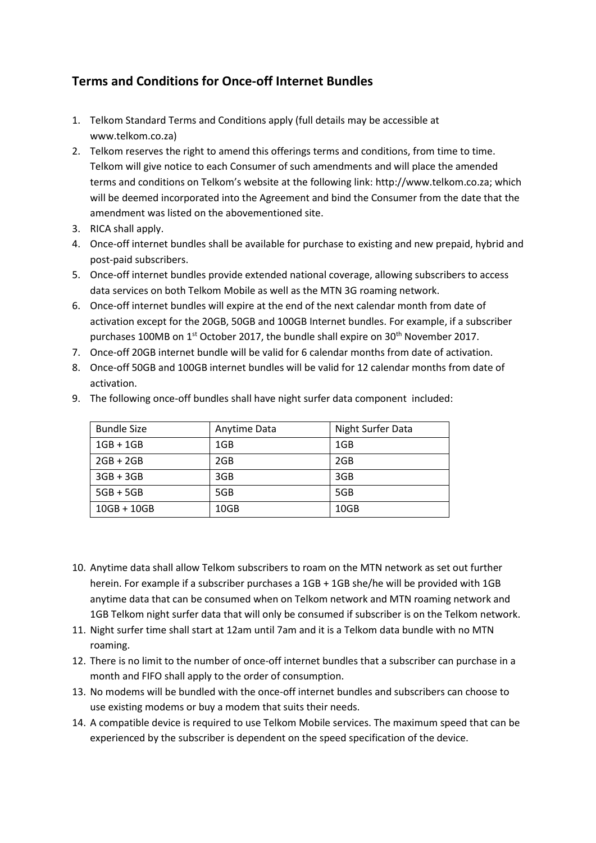## **Terms and Conditions for Once-off Internet Bundles**

- 1. Telkom Standard Terms and Conditions apply (full details may be accessible at [www.telkom.co.za\)](http://www.telkom.co.za/)
- 2. Telkom reserves the right to amend this offerings terms and conditions, from time to time. Telkom will give notice to each Consumer of such amendments and will place the amended terms and conditions on Telkom's website at the following link: [http://www.telkom.co.za;](http://www.telkom.co.za/) which will be deemed incorporated into the Agreement and bind the Consumer from the date that the amendment was listed on the abovementioned site.
- 3. RICA shall apply.
- 4. Once-off internet bundles shall be available for purchase to existing and new prepaid, hybrid and post-paid subscribers.
- 5. Once-off internet bundles provide extended national coverage, allowing subscribers to access data services on both Telkom Mobile as well as the MTN 3G roaming network.
- 6. Once-off internet bundles will expire at the end of the next calendar month from date of activation except for the 20GB, 50GB and 100GB Internet bundles. For example, if a subscriber purchases 100MB on  $1^{st}$  October 2017, the bundle shall expire on  $30^{th}$  November 2017.
- 7. Once-off 20GB internet bundle will be valid for 6 calendar months from date of activation.
- 8. Once-off 50GB and 100GB internet bundles will be valid for 12 calendar months from date of activation.

| <b>Bundle Size</b> | Anytime Data | Night Surfer Data |
|--------------------|--------------|-------------------|
| $1GB + 1GB$        | 1GB          | 1GB               |
| $2GB + 2GB$        | 2GB          | 2GB               |
| $3GB + 3GB$        | 3GB          | 3GB               |
| $5GB + 5GB$        | 5GB          | 5GB               |
| $10GB + 10GB$      | 10GB         | 10GB              |

9. The following once-off bundles shall have night surfer data component included:

- 10. Anytime data shall allow Telkom subscribers to roam on the MTN network as set out further herein. For example if a subscriber purchases a 1GB + 1GB she/he will be provided with 1GB anytime data that can be consumed when on Telkom network and MTN roaming network and 1GB Telkom night surfer data that will only be consumed if subscriber is on the Telkom network.
- 11. Night surfer time shall start at 12am until 7am and it is a Telkom data bundle with no MTN roaming.
- 12. There is no limit to the number of once-off internet bundles that a subscriber can purchase in a month and FIFO shall apply to the order of consumption.
- 13. No modems will be bundled with the once-off internet bundles and subscribers can choose to use existing modems or buy a modem that suits their needs.
- 14. A compatible device is required to use Telkom Mobile services. The maximum speed that can be experienced by the subscriber is dependent on the speed specification of the device.